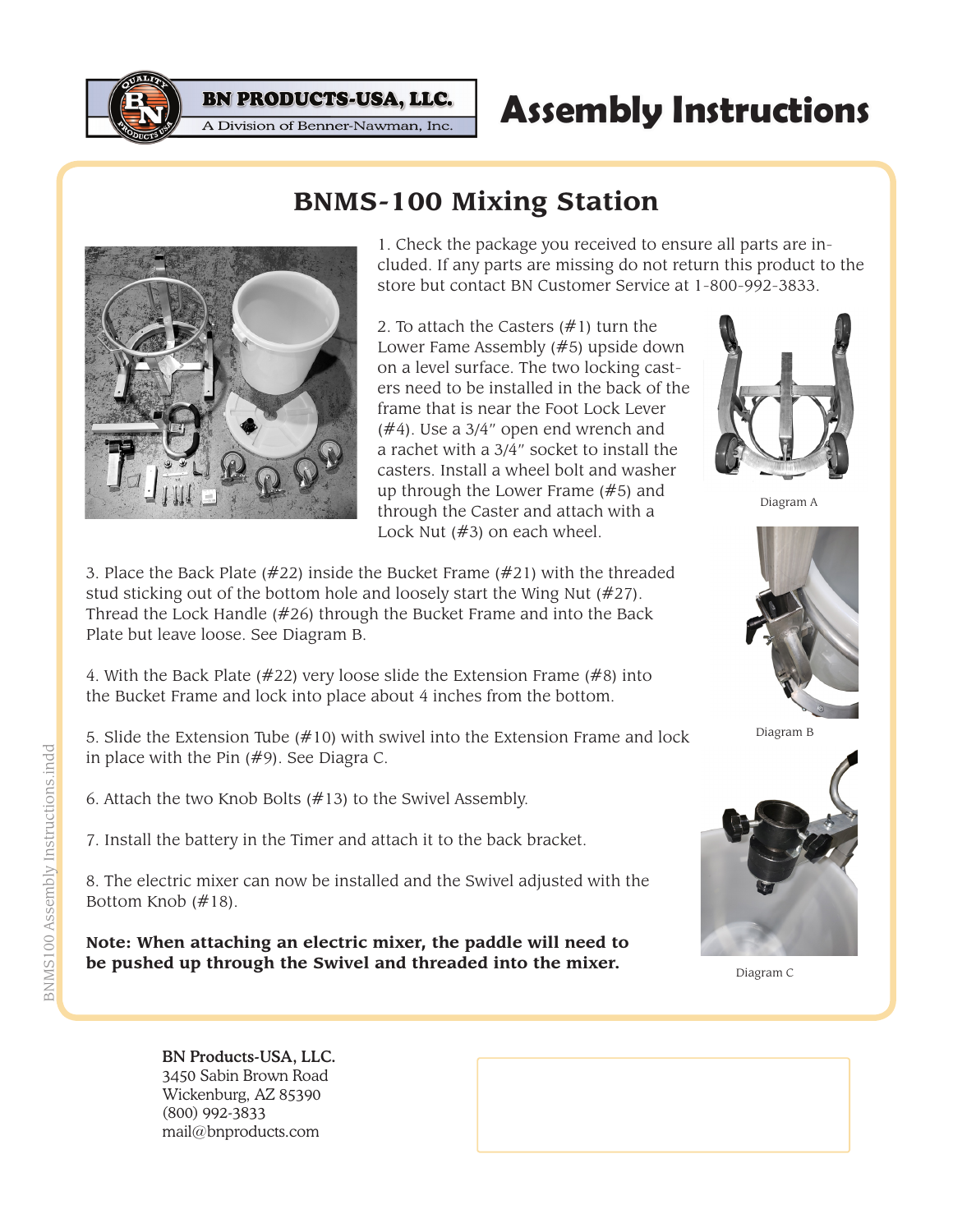

**Assembly Instructions**

1. Check the package you received to ensure all parts are included. If any parts are missing do not return this product to the store but contact BN Customer Service at 1-800-992-3833.

2. To attach the Casters (#1) turn the Lower Fame Assembly (#5) upside down on a level surface. The two locking casters need to be installed in the back of the frame that is near the Foot Lock Lever (#4). Use a 3/4" open end wrench and a rachet with a 3/4" socket to install the casters. Install a wheel bolt and washer up through the Lower Frame (#5) and through the Caster and attach with a Lock Nut (#3) on each wheel.

**BNMS-100 Mixing Station**



Diagram A

3. Place the Back Plate (#22) inside the Bucket Frame (#21) with the threaded stud sticking out of the bottom hole and loosely start the Wing Nut (#27). Thread the Lock Handle (#26) through the Bucket Frame and into the Back Plate but leave loose. See Diagram B.

**BN PRODUCTS-USA, LLC.** A Division of Benner-Nawman, Inc.

4. With the Back Plate (#22) very loose slide the Extension Frame (#8) into the Bucket Frame and lock into place about 4 inches from the bottom.

5. Slide the Extension Tube (#10) with swivel into the Extension Frame and lock in place with the Pin (#9). See Diagra C.

6. Attach the two Knob Bolts (#13) to the Swivel Assembly.

7. Install the battery in the Timer and attach it to the back bracket.

8. The electric mixer can now be installed and the Swivel adjusted with the Bottom Knob (#18).

**Note: When attaching an electric mixer, the paddle will need to be pushed up through the Swivel and threaded into the mixer.**



Diagram C

BN Products-USA, LLC. 3450 Sabin Brown Road Wickenburg, AZ 85390 (800) 992-3833 mail@bnproducts.com